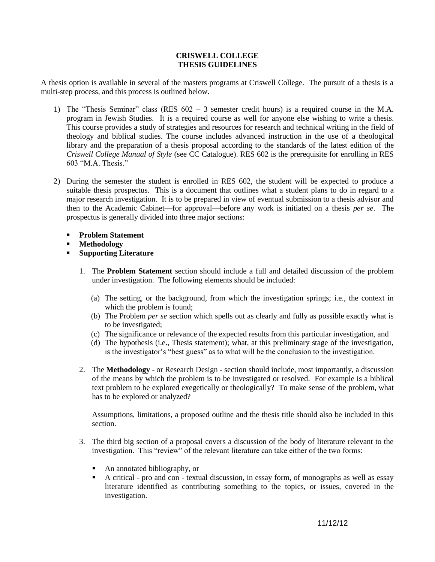## **CRISWELL COLLEGE THESIS GUIDELINES**

A thesis option is available in several of the masters programs at Criswell College. The pursuit of a thesis is a multi-step process, and this process is outlined below.

- 1) The "Thesis Seminar" class (RES 602 3 semester credit hours) is a required course in the M.A. program in Jewish Studies. It is a required course as well for anyone else wishing to write a thesis. This course provides a study of strategies and resources for research and technical writing in the field of theology and biblical studies. The course includes advanced instruction in the use of a theological library and the preparation of a thesis proposal according to the standards of the latest edition of the *Criswell College Manual of Style* (see CC Catalogue). RES 602 is the prerequisite for enrolling in RES 603 "M.A. Thesis."
- 2) During the semester the student is enrolled in RES 602, the student will be expected to produce a suitable thesis prospectus. This is a document that outlines what a student plans to do in regard to a major research investigation. It is to be prepared in view of eventual submission to a thesis advisor and then to the Academic Cabinet—for approval—before any work is initiated on a thesis *per se*. The prospectus is generally divided into three major sections:
	- **Problem Statement**
	- **Methodology**
	- **Supporting Literature**
		- 1. The **Problem Statement** section should include a full and detailed discussion of the problem under investigation. The following elements should be included:
			- (a) The setting, or the background, from which the investigation springs; i.e., the context in which the problem is found;
			- (b) The Problem *per se* section which spells out as clearly and fully as possible exactly what is to be investigated;
			- (c) The significance or relevance of the expected results from this particular investigation, and
			- (d) The hypothesis (i.e., Thesis statement); what, at this preliminary stage of the investigation, is the investigator's "best guess" as to what will be the conclusion to the investigation.
		- 2. The **Methodology** or Research Design section should include, most importantly, a discussion of the means by which the problem is to be investigated or resolved. For example is a biblical text problem to be explored exegetically or theologically? To make sense of the problem, what has to be explored or analyzed?

Assumptions, limitations, a proposed outline and the thesis title should also be included in this section.

- 3. The third big section of a proposal covers a discussion of the body of literature relevant to the investigation. This "review" of the relevant literature can take either of the two forms:
	- An annotated bibliography, or
	- A critical pro and con textual discussion, in essay form, of monographs as well as essay literature identified as contributing something to the topics, or issues, covered in the investigation.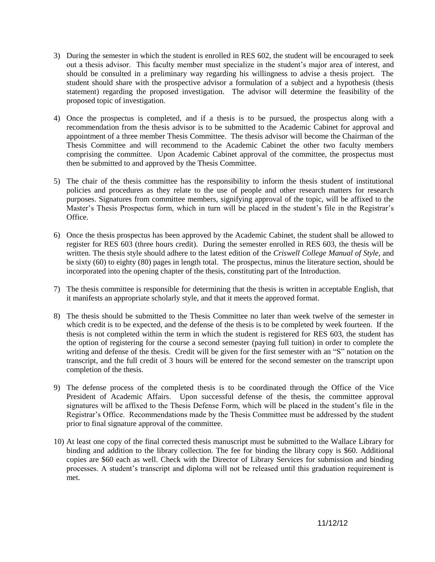- 3) During the semester in which the student is enrolled in RES 602, the student will be encouraged to seek out a thesis advisor. This faculty member must specialize in the student's major area of interest, and should be consulted in a preliminary way regarding his willingness to advise a thesis project. The student should share with the prospective advisor a formulation of a subject and a hypothesis (thesis statement) regarding the proposed investigation. The advisor will determine the feasibility of the proposed topic of investigation.
- 4) Once the prospectus is completed, and if a thesis is to be pursued, the prospectus along with a recommendation from the thesis advisor is to be submitted to the Academic Cabinet for approval and appointment of a three member Thesis Committee. The thesis advisor will become the Chairman of the Thesis Committee and will recommend to the Academic Cabinet the other two faculty members comprising the committee. Upon Academic Cabinet approval of the committee, the prospectus must then be submitted to and approved by the Thesis Committee.
- 5) The chair of the thesis committee has the responsibility to inform the thesis student of institutional policies and procedures as they relate to the use of people and other research matters for research purposes. Signatures from committee members, signifying approval of the topic, will be affixed to the Master's Thesis Prospectus form, which in turn will be placed in the student's file in the Registrar's Office.
- 6) Once the thesis prospectus has been approved by the Academic Cabinet, the student shall be allowed to register for RES 603 (three hours credit). During the semester enrolled in RES 603, the thesis will be written. The thesis style should adhere to the latest edition of the *Criswell College Manual of Style*, and be sixty (60) to eighty (80) pages in length total. The prospectus, minus the literature section, should be incorporated into the opening chapter of the thesis, constituting part of the Introduction.
- 7) The thesis committee is responsible for determining that the thesis is written in acceptable English, that it manifests an appropriate scholarly style, and that it meets the approved format.
- 8) The thesis should be submitted to the Thesis Committee no later than week twelve of the semester in which credit is to be expected, and the defense of the thesis is to be completed by week fourteen. If the thesis is not completed within the term in which the student is registered for RES 603, the student has the option of registering for the course a second semester (paying full tuition) in order to complete the writing and defense of the thesis. Credit will be given for the first semester with an "S" notation on the transcript, and the full credit of 3 hours will be entered for the second semester on the transcript upon completion of the thesis.
- 9) The defense process of the completed thesis is to be coordinated through the Office of the Vice President of Academic Affairs. Upon successful defense of the thesis, the committee approval signatures will be affixed to the Thesis Defense Form, which will be placed in the student's file in the Registrar's Office. Recommendations made by the Thesis Committee must be addressed by the student prior to final signature approval of the committee.
- 10) At least one copy of the final corrected thesis manuscript must be submitted to the Wallace Library for binding and addition to the library collection. The fee for binding the library copy is \$60. Additional copies are \$60 each as well. Check with the Director of Library Services for submission and binding processes. A student's transcript and diploma will not be released until this graduation requirement is met.